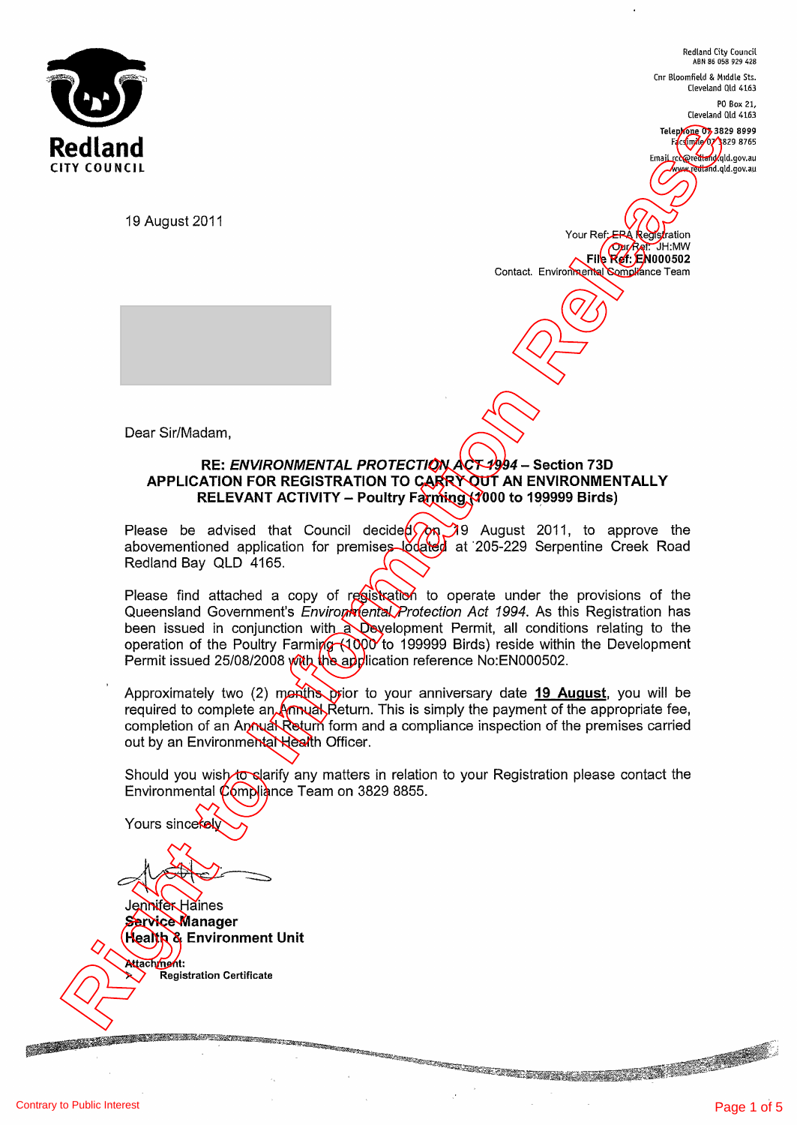

Redland City Council ABN 86 058 929 428

Cnr Bloomfield & Middle Sts. Cleveland Old 4163 PO Box 21,

Cleveland Old 4163

Telephone 07,3829 8999 Facsimile 07 3829 8765

Email rcc@redland.qld.gov.au www.redland.qld.gov.au

19 August 2011

Your Ref; EPA Registration Our Ref: JH:MW **File Ref**: EN000502 Contact. Environmental Compliance Team

Dear Sir/Madam,

#### RE: ENVIRONMENTAL PROTECTION ACT 1994 - Section 73D APPLICATION FOR REGISTRATION TO GARRY OUT AN ENVIRONMENTALLY RELEVANT ACTIVITY - Poultry Farming  $(1000)$  to 199999 Birds)

Please be advised that Council decide**d(***)***on 3**9 August 2011, to approve the abovementioned application for premises lŏdated at 205-229 Serpentine Creek Road Redland Bay QLD 4165.

Please find attached a copy of registration to operate under the provisions of the Queensland Government's *Environmental Protection Act 1994*. As this Registration has been issued in conjunction with a Development Permit, all conditions relating to the operation of the Poultry Farming (1000 to 199999 Birds) reside within the Development Permit issued 25/08/2008 with the application reference No:EN000502. **Red Land The August 2011**<br>
The August 2011<br>
18 August 2011<br>
18 August 2011<br>
18 August 2011<br> **RELEATION FOR REGISTRATION TO CARRY COTT AN ENVIRONMENTALLY**<br> **RELEATION FOR REGISTRATION TO CARRY COTT AN ENVIRONMENTALLY**<br> **RE** 

Approximately two (2) months prior to your anniversary date  $19$  August, you will be required to complete an  $A$   $m$   $\lambda$   $R$  eturn. This is simply the payment of the appropriate fee, completion of an Aptival Return form and a compliance inspection of the premises carried out by an Environmental Health Officer.

Should you wish to clarify any matters in relation to your Registration please contact the Environmental Compliance Team on 3829 8855.

Yours sincerely

**RIVERS IN STRAIGHT AND RESIDENTS OF PROPERTY** 

Jennifer Haines Service Manager Health & Environment Unit Attachment: **Registration Certificate**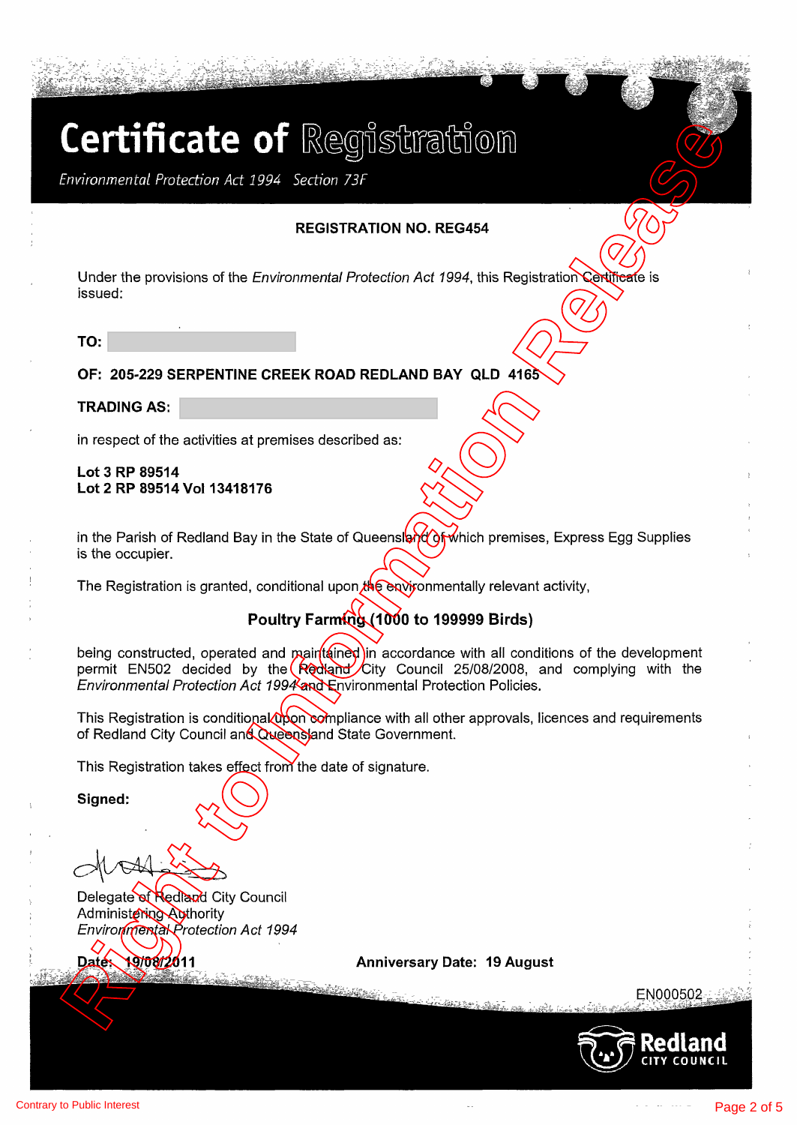**REGISTRATION NO. REG454** 

Under the provisions of the *Environmental Protection Act 1994*, this Registration Certificate is issued:

**TO:** 

### **OF: 205-229 SERPENTINE CREEK ROAD REDLAND BAY QLD 4165**

**TRADING AS:** 

in respect of the activities at premises described as:

**Lot 3 RP 89514 Lot 2 RP 89514 Vol 13418176** 

in the Parish of Redland Bay in the State of Queensland of which premises, Express Egg Supplies is the occupier.

The Registration is granted, conditional upon the environmentally relevant activity,

## **Poultry Farming (1000 to 199999 Birds)**

being constructed, operated and maintained in accordance with all conditions of the development permit EN502 decided by the Redland City Council 25/08/2008, and complying with the Environmental Protection Act 1994 and Environmental Protection Policies. **Certificate of Reginal Studies (Figure 2014)**<br> **REGISTRATION NO. REGIST<br>
SURFACE TO PRODUCE THE PRODUCED AND SERVED AND RESPONSIVE CONTINUES.**<br>
TO:<br>
TO:<br>
TO:<br>
TO:<br>
2014-2019 SERPENTINE OREEN ROAD REDLAND BAY QUI 416-REGIS

This Registration is conditional  $\alpha$  compliance with all other approvals, licences and requirements of Redland City Council and Queensland State Government.

This Registration takes effect from the date of signature.

**Signed:** 

Delegate of Redland City Council Administering Authority Environmental Protection Act 1994

**Anniversary Date: 19 August** 

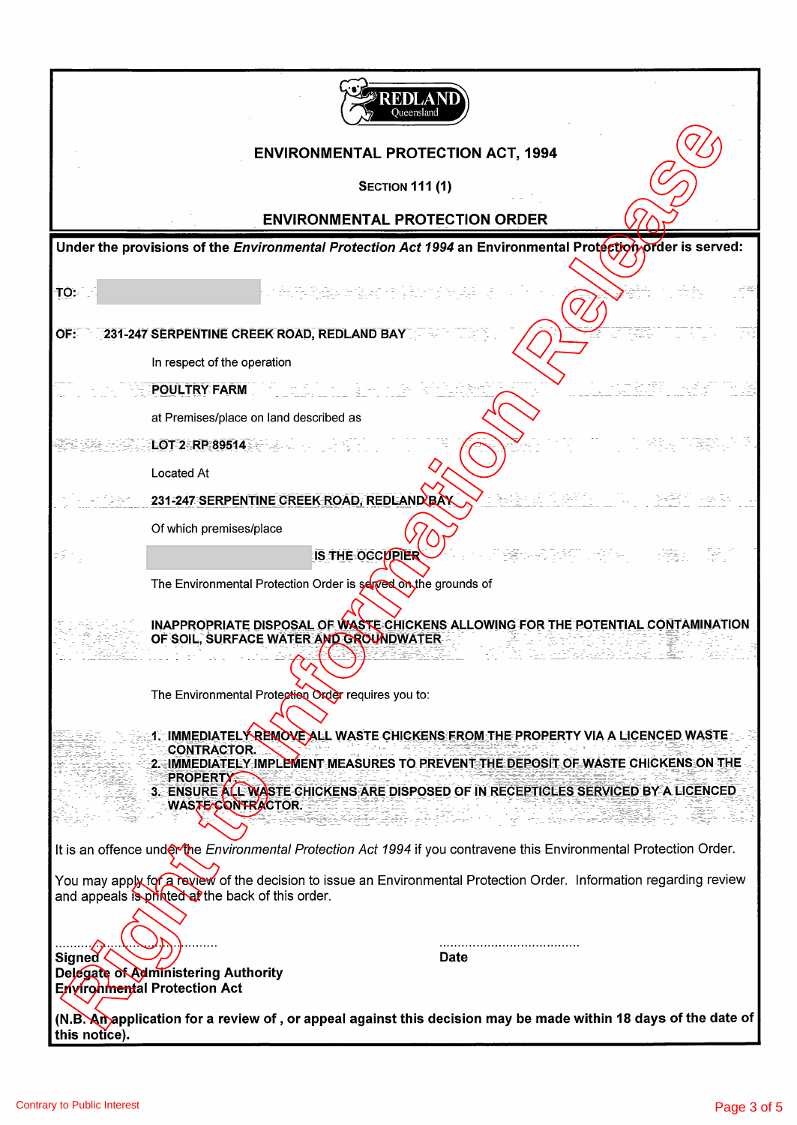| REDLAN<br>Oueensland                                                                                                                                                                                                                                                                                        |
|-------------------------------------------------------------------------------------------------------------------------------------------------------------------------------------------------------------------------------------------------------------------------------------------------------------|
| <b>ENVIRONMENTAL PROTECTION ACT, 1994</b>                                                                                                                                                                                                                                                                   |
| <b>SECTION 111 (1)</b>                                                                                                                                                                                                                                                                                      |
| <b>ENVIRONMENTAL PROTECTION ORDER</b>                                                                                                                                                                                                                                                                       |
| Under the provisions of the Environmental Protection Act 1994 an Environmental Protection order is served:                                                                                                                                                                                                  |
| TO:<br>a ang kong kong s                                                                                                                                                                                                                                                                                    |
| 231-247 SERPENTINE CREEK ROAD, REDLAND BAY<br>OF:                                                                                                                                                                                                                                                           |
| In respect of the operation                                                                                                                                                                                                                                                                                 |
| <b>POULTRY FARM</b>                                                                                                                                                                                                                                                                                         |
| at Premises/place on land described as                                                                                                                                                                                                                                                                      |
| LOT 2 RP 89514                                                                                                                                                                                                                                                                                              |
| Located At                                                                                                                                                                                                                                                                                                  |
| 동화로 아쉬워 보이는 물관이<br>231-247 SERPENTINE CREEK ROAD, REDLAND BAY                                                                                                                                                                                                                                               |
| Of which premises/place                                                                                                                                                                                                                                                                                     |
| 19일 25일 : 일상 - 이 발목 : 이 값이<br>IS THE OCCOPIER                                                                                                                                                                                                                                                               |
| The Environmental Protection Order is served on the grounds of                                                                                                                                                                                                                                              |
| INAPPROPRIATE DISPOSAL OF WASTE CHICKENS ALLOWING FOR THE POTENTIAL CONTAMINATION<br>OF SOIL, SURFACE WATER AND GROUNDWATER                                                                                                                                                                                 |
| The Environmental Protection Order requires you to:                                                                                                                                                                                                                                                         |
| <u> 1. IMMEDIATELY REMOVE ALL WASTE CHICKENS FROM THE PROPERTY VIA A LICENCED WASTE</u><br><b>CONTRACTOR.</b><br>2. IMMEDIATELY IMPLEMENT MEASURES TO PREVENT THE DEPOSIT OF WASTE CHICKENS ON THE<br><b>PROPERTY</b><br>3. ENSURE ALL WASTE CHICKENS ARE DISPOSED OF IN RECEPTICLES SERVICED BY A LICENCED |
| WASTE CONTRACTOR.<br>ा सा ता इं.एमनीचरी                                                                                                                                                                                                                                                                     |
| It is an offence under the Environmental Protection Act 1994 if you contravene this Environmental Protection Order.                                                                                                                                                                                         |
| You may apply for a review of the decision to issue an Environmental Protection Order. Information regarding review<br>and appeals is printed at the back of this order.                                                                                                                                    |
|                                                                                                                                                                                                                                                                                                             |
| Date<br><b>Signed</b>                                                                                                                                                                                                                                                                                       |
| Delegate of Administering Authority<br>Environmental Protection Act                                                                                                                                                                                                                                         |
| (N.B. An application for a review of , or appeal against this decision may be made within 18 days of the date of<br>this notice).                                                                                                                                                                           |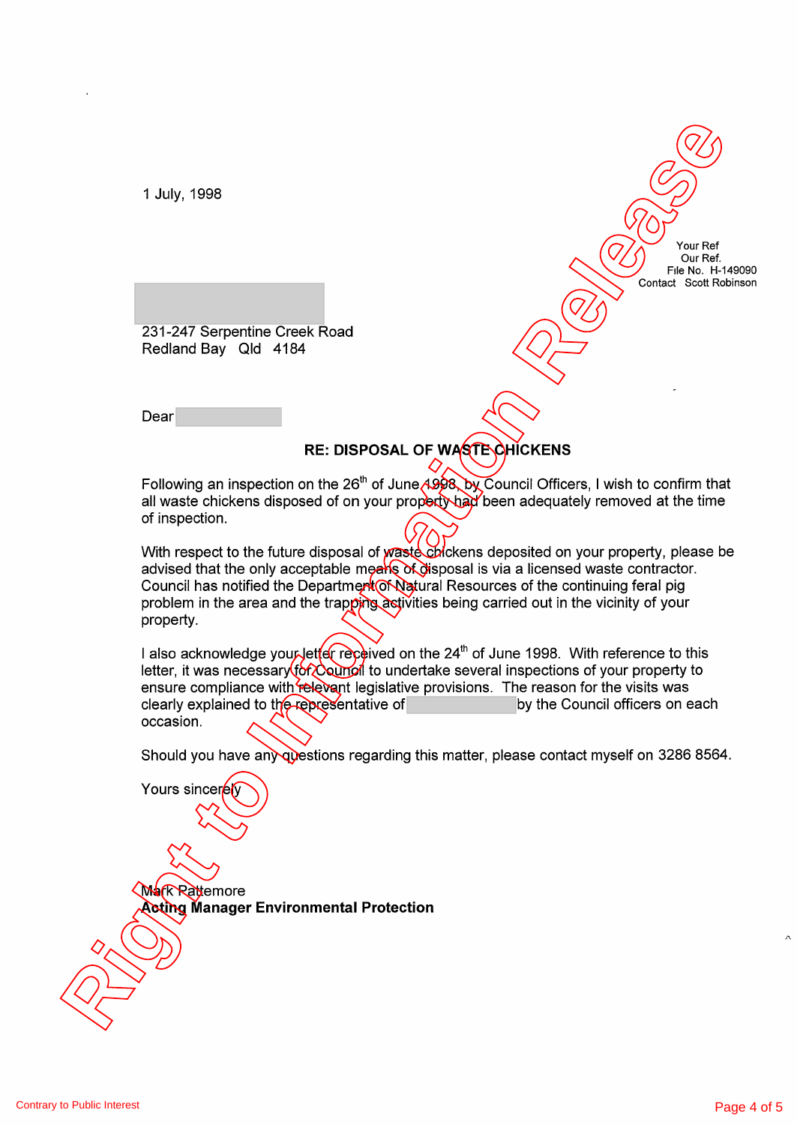1 July, 1998

Your Ref Our Ref. File No. H-149090 Contact Scott Robinson

231-247 Serpentine Creek Road Redland Bay Qld 4184

Dear

Yours sinceren

## **RE: DISPOSAL OF WASTE CHICKENS**

Following an inspection on the 26<sup>th</sup> of June 1998, by Council Officers, I wish to confirm that all waste chickens disposed of on your property had been adequately removed at the time of inspection.

With respect to the future disposal of waste chickens deposited on your property, please be advised that the only acceptable means of disposal is via a licensed waste contractor. Council has notified the Department of Natural Resources of the continuing feral pig problem in the area and the trapping activities being carried out in the vicinity of your property. T. July, 1998<br> **Right of the International Properties Creek Road**<br>
Reduced Bay Gld 4164<br>
Dealer<br>
Release that substitute the Creek Road<br>
Reclame the International Bay Gld 4164<br>
Dealer<br>
RE: DISPOSAL OF WATER/CONCRING<br>
Deal

I also acknowledge your letter received on the 24<sup>th</sup> of June 1998. With reference to this letter, it was necessary  $\frac{1}{6}$  council to undertake several inspections of your property to ensure compliance with relevant legislative provisions. The reason for the visits was clearly explained to the representative of by the Council officers on each occasion.

Should you have any questions regarding this matter, please contact myself on 3286 8564.

**Mark Rattemore Acting Manager Environmental Protection**